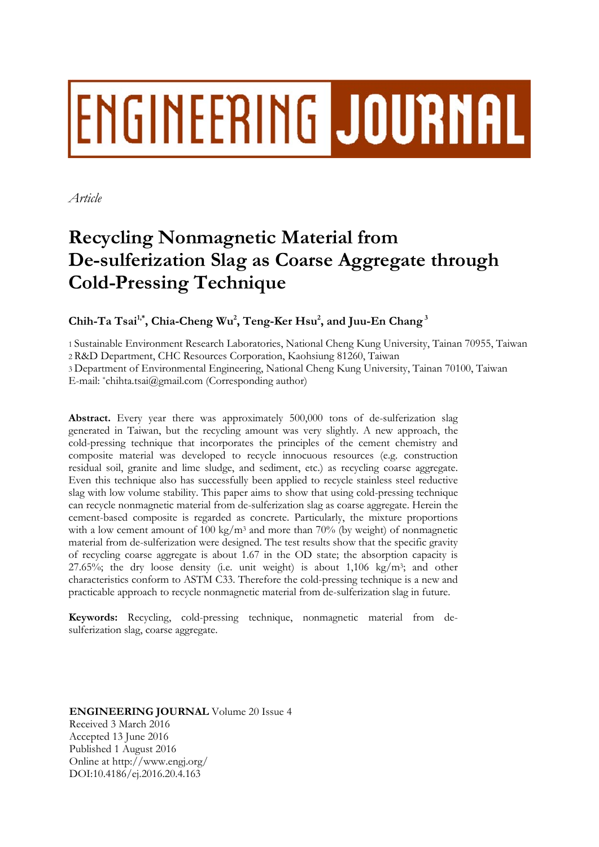# **ENGINEERING JOURNAL**

*Article* 

# **Recycling Nonmagnetic Material from De-sulferization Slag as Coarse Aggregate through Cold-Pressing Technique**

Chih-Ta Tsai<sup>1,\*</sup>, Chia-Cheng Wu<sup>2</sup>, Teng-Ker Hsu<sup>2</sup>, and Juu-En Chang<sup>3</sup>

1 Sustainable Environment Research Laboratories, National Cheng Kung University, Tainan 70955, Taiwan 2 R&D Department, CHC Resources Corporation, Kaohsiung 81260, Taiwan 3 Department of Environmental Engineering, National Cheng Kung University, Tainan 70100, Taiwan

E-mail: \*chihta.tsai@gmail.com (Corresponding author)

**Abstract.** Every year there was approximately 500,000 tons of de-sulferization slag generated in Taiwan, but the recycling amount was very slightly. A new approach, the cold-pressing technique that incorporates the principles of the cement chemistry and composite material was developed to recycle innocuous resources (e.g. construction residual soil, granite and lime sludge, and sediment, etc.) as recycling coarse aggregate. Even this technique also has successfully been applied to recycle stainless steel reductive slag with low volume stability. This paper aims to show that using cold-pressing technique can recycle nonmagnetic material from de-sulferization slag as coarse aggregate. Herein the cement-based composite is regarded as concrete. Particularly, the mixture proportions with a low cement amount of 100 kg/m<sup>3</sup> and more than 70% (by weight) of nonmagnetic material from de-sulferization were designed. The test results show that the specific gravity of recycling coarse aggregate is about 1.67 in the OD state; the absorption capacity is 27.65%; the dry loose density (i.e. unit weight) is about  $1,106 \text{ kg/m}^3$ ; and other characteristics conform to ASTM C33. Therefore the cold-pressing technique is a new and practicable approach to recycle nonmagnetic material from de-sulferization slag in future.

**Keywords:** Recycling, cold-pressing technique, nonmagnetic material from desulferization slag, coarse aggregate.

**ENGINEERING JOURNAL** Volume 20 Issue 4 Received 3 March 2016 Accepted 13 June 2016 Published 1 August 2016 Online at http://www.engj.org/ DOI:10.4186/ej.2016.20.4.163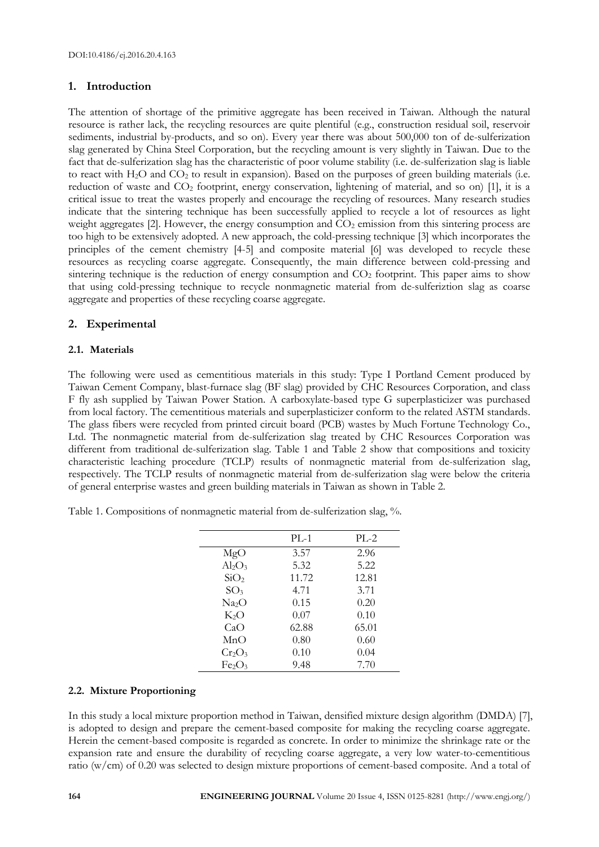# **1. Introduction**

The attention of shortage of the primitive aggregate has been received in Taiwan. Although the natural resource is rather lack, the recycling resources are quite plentiful (e.g., construction residual soil, reservoir sediments, industrial by-products, and so on). Every year there was about 500,000 ton of de-sulferization slag generated by China Steel Corporation, but the recycling amount is very slightly in Taiwan. Due to the fact that de-sulferization slag has the characteristic of poor volume stability (i.e. de-sulferization slag is liable to react with  $H_2O$  and  $CO_2$  to result in expansion). Based on the purposes of green building materials (i.e. reduction of waste and CO2 footprint, energy conservation, lightening of material, and so on) [1], it is a critical issue to treat the wastes properly and encourage the recycling of resources. Many research studies indicate that the sintering technique has been successfully applied to recycle a lot of resources as light weight aggregates  $[2]$ . However, the energy consumption and  $CO<sub>2</sub>$  emission from this sintering process are too high to be extensively adopted. A new approach, the cold-pressing technique [3] which incorporates the principles of the cement chemistry [4-5] and composite material [6] was developed to recycle these resources as recycling coarse aggregate. Consequently, the main difference between cold-pressing and sintering technique is the reduction of energy consumption and  $CO<sub>2</sub>$  footprint. This paper aims to show that using cold-pressing technique to recycle nonmagnetic material from de-sulferiztion slag as coarse aggregate and properties of these recycling coarse aggregate.

# **2. Experimental**

# **2.1. Materials**

The following were used as cementitious materials in this study: Type I Portland Cement produced by Taiwan Cement Company, blast-furnace slag (BF slag) provided by CHC Resources Corporation, and class F fly ash supplied by Taiwan Power Station. A carboxylate-based type G superplasticizer was purchased from local factory. The cementitious materials and superplasticizer conform to the related ASTM standards. The glass fibers were recycled from printed circuit board (PCB) wastes by Much Fortune Technology Co., Ltd. The nonmagnetic material from de-sulferization slag treated by CHC Resources Corporation was different from traditional de-sulferization slag. Table 1 and Table 2 show that compositions and toxicity characteristic leaching procedure (TCLP) results of nonmagnetic material from de-sulferization slag, respectively. The TCLP results of nonmagnetic material from de-sulferization slag were below the criteria of general enterprise wastes and green building materials in Taiwan as shown in Table 2.

Table 1. Compositions of nonmagnetic material from de-sulferization slag, %.

|                   | $PL-1$ | $PL-2$ |
|-------------------|--------|--------|
| MgO               | 3.57   | 2.96   |
| $Al_2O_3$         | 5.32   | 5.22   |
| SiO <sub>2</sub>  | 11.72  | 12.81  |
| SO <sub>3</sub>   | 4.71   | 3.71   |
| Na <sub>2</sub> O | 0.15   | 0.20   |
| $K_2O$            | 0.07   | 0.10   |
| CaO               | 62.88  | 65.01  |
| MnO               | 0.80   | 0.60   |
| $Cr_2O_3$         | 0.10   | 0.04   |
| Fe2O3             | 9.48   | 7.70   |

# **2.2. Mixture Proportioning**

In this study a local mixture proportion method in Taiwan, densified mixture design algorithm (DMDA) [7], is adopted to design and prepare the cement-based composite for making the recycling coarse aggregate. Herein the cement-based composite is regarded as concrete. In order to minimize the shrinkage rate or the expansion rate and ensure the durability of recycling coarse aggregate, a very low water-to-cementitious ratio (w/cm) of 0.20 was selected to design mixture proportions of cement-based composite. And a total of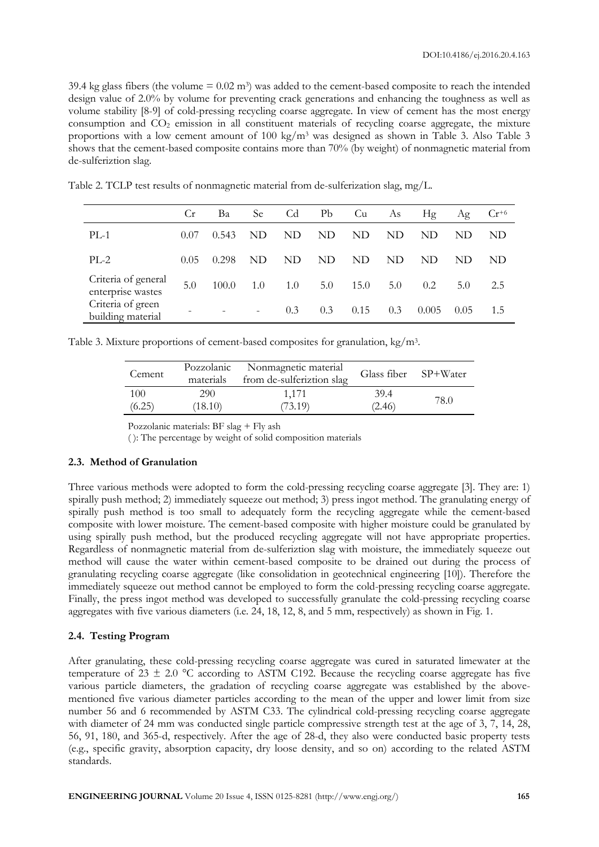39.4 kg glass fibers (the volume  $= 0.02$  m<sup>3</sup>) was added to the cement-based composite to reach the intended design value of 2.0% by volume for preventing crack generations and enhancing the toughness as well as volume stability [8-9] of cold-pressing recycling coarse aggregate. In view of cement has the most energy consumption and  $CO<sub>2</sub>$  emission in all constituent materials of recycling coarse aggregate, the mixture proportions with a low cement amount of 100 kg/m3 was designed as shown in Table 3. Also Table 3 shows that the cement-based composite contains more than 70% (by weight) of nonmagnetic material from de-sulferiztion slag.

|                                          | Cr   | Ba    | Se                       | Cd  | Pb  | Cu   | As  | Hg    | Ag   | $Cr^{+6}$ |
|------------------------------------------|------|-------|--------------------------|-----|-----|------|-----|-------|------|-----------|
| $PL-1$                                   | 0.07 | 0.543 | ND.                      | ND  | ND. | ND.  | ND  | ND    | ND   | ND        |
| $PL-2$                                   | 0.05 | 0.298 | ND                       | ND  | ND. | ND.  | ND  | ND.   | ND   | ND        |
| Criteria of general<br>enterprise wastes | 5.0  | 100.0 | 1.0                      | 1.0 | 5.0 | 15.0 | 5.0 | 0.2   | 5.0  | 2.5       |
| Criteria of green<br>building material   |      |       | $\overline{\phantom{0}}$ | 0.3 | 0.3 | 0.15 | 0.3 | 0.005 | 0.05 | 1.5       |

Table 2. TCLP test results of nonmagnetic material from de-sulferization slag, mg/L.

Table 3. Mixture proportions of cement-based composites for granulation, kg/m3.

| Cement | Pozzolanic<br>materials | Nonmagnetic material<br>from de-sulferiztion slag | Glass fiber SP+Water |       |
|--------|-------------------------|---------------------------------------------------|----------------------|-------|
| 100    | 290                     | 1.171                                             | 39.4                 | 78.0- |
| (6.25) | (18.10)                 | (73.19)                                           | (2.46)               |       |

Pozzolanic materials: BF slag + Fly ash

( ): The percentage by weight of solid composition materials

#### **2.3. Method of Granulation**

Three various methods were adopted to form the cold-pressing recycling coarse aggregate [3]. They are: 1) spirally push method; 2) immediately squeeze out method; 3) press ingot method. The granulating energy of spirally push method is too small to adequately form the recycling aggregate while the cement-based composite with lower moisture. The cement-based composite with higher moisture could be granulated by using spirally push method, but the produced recycling aggregate will not have appropriate properties. Regardless of nonmagnetic material from de-sulferiztion slag with moisture, the immediately squeeze out method will cause the water within cement-based composite to be drained out during the process of granulating recycling coarse aggregate (like consolidation in geotechnical engineering [10]). Therefore the immediately squeeze out method cannot be employed to form the cold-pressing recycling coarse aggregate. Finally, the press ingot method was developed to successfully granulate the cold-pressing recycling coarse aggregates with five various diameters (i.e. 24, 18, 12, 8, and 5 mm, respectively) as shown in Fig. 1.

#### **2.4. Testing Program**

After granulating, these cold-pressing recycling coarse aggregate was cured in saturated limewater at the temperature of  $23 \pm 2.0$  °C according to ASTM C192. Because the recycling coarse aggregate has five various particle diameters, the gradation of recycling coarse aggregate was established by the abovementioned five various diameter particles according to the mean of the upper and lower limit from size number 56 and 6 recommended by ASTM C33. The cylindrical cold-pressing recycling coarse aggregate with diameter of 24 mm was conducted single particle compressive strength test at the age of 3, 7, 14, 28, 56, 91, 180, and 365-d, respectively. After the age of 28-d, they also were conducted basic property tests (e.g., specific gravity, absorption capacity, dry loose density, and so on) according to the related ASTM standards.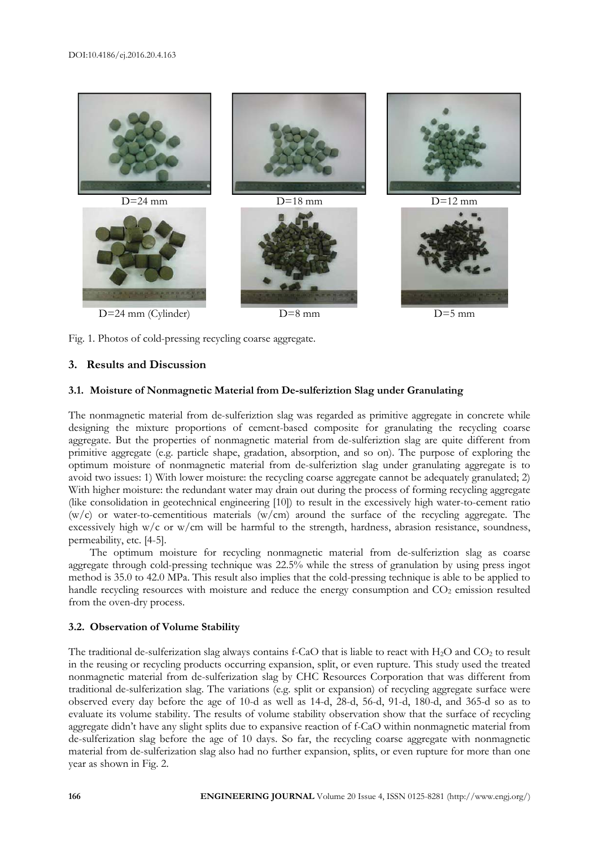



Fig. 1. Photos of cold-pressing recycling coarse aggregate.

# **3. Results and Discussion**

#### **3.1. Moisture of Nonmagnetic Material from De-sulferiztion Slag under Granulating**

The nonmagnetic material from de-sulferiztion slag was regarded as primitive aggregate in concrete while designing the mixture proportions of cement-based composite for granulating the recycling coarse aggregate. But the properties of nonmagnetic material from de-sulferiztion slag are quite different from primitive aggregate (e.g. particle shape, gradation, absorption, and so on). The purpose of exploring the optimum moisture of nonmagnetic material from de-sulferiztion slag under granulating aggregate is to avoid two issues: 1) With lower moisture: the recycling coarse aggregate cannot be adequately granulated; 2) With higher moisture: the redundant water may drain out during the process of forming recycling aggregate (like consolidation in geotechnical engineering [10]) to result in the excessively high water-to-cement ratio (w/c) or water-to-cementitious materials (w/cm) around the surface of the recycling aggregate. The excessively high  $w/c$  or  $w/cm$  will be harmful to the strength, hardness, abrasion resistance, soundness, permeability, etc. [4-5].

The optimum moisture for recycling nonmagnetic material from de-sulferiztion slag as coarse aggregate through cold-pressing technique was 22.5% while the stress of granulation by using press ingot method is 35.0 to 42.0 MPa. This result also implies that the cold-pressing technique is able to be applied to handle recycling resources with moisture and reduce the energy consumption and  $CO<sub>2</sub>$  emission resulted from the oven-dry process.

# **3.2. Observation of Volume Stability**

The traditional de-sulferization slag always contains f-CaO that is liable to react with  $H_2O$  and  $CO_2$  to result in the reusing or recycling products occurring expansion, split, or even rupture. This study used the treated nonmagnetic material from de-sulferization slag by CHC Resources Corporation that was different from traditional de-sulferization slag. The variations (e.g. split or expansion) of recycling aggregate surface were observed every day before the age of 10-d as well as 14-d, 28-d, 56-d, 91-d, 180-d, and 365-d so as to evaluate its volume stability. The results of volume stability observation show that the surface of recycling aggregate didn't have any slight splits due to expansive reaction of f-CaO within nonmagnetic material from de-sulferization slag before the age of 10 days. So far, the recycling coarse aggregate with nonmagnetic material from de-sulferization slag also had no further expansion, splits, or even rupture for more than one year as shown in Fig. 2.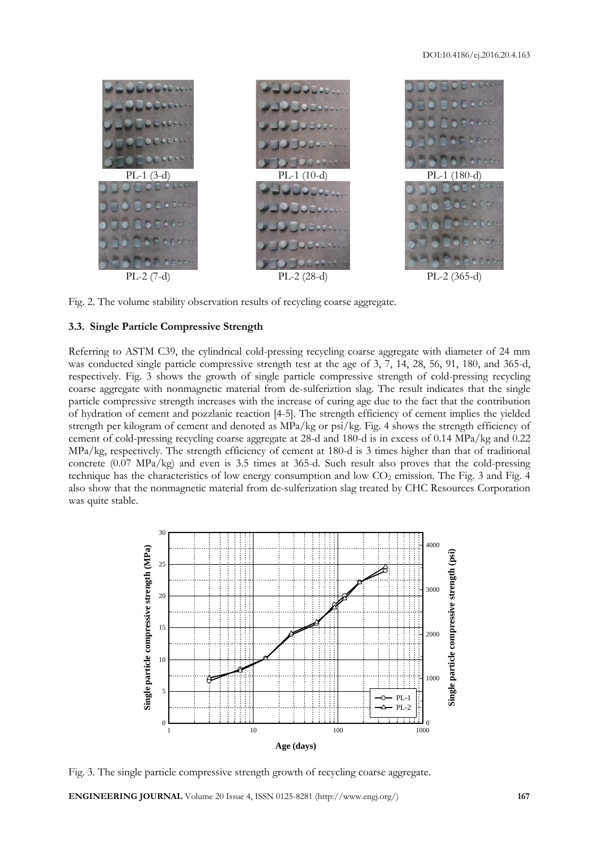

Fig. 2. The volume stability observation results of recycling coarse aggregate.

# **3.3. Single Particle Compressive Strength**

Referring to ASTM C39, the cylindrical cold-pressing recycling coarse aggregate with diameter of 24 mm was conducted single particle compressive strength test at the age of 3, 7, 14, 28, 56, 91, 180, and 365-d, respectively. Fig. 3 shows the growth of single particle compressive strength of cold-pressing recycling coarse aggregate with nonmagnetic material from de-sulferiztion slag. The result indicates that the single particle compressive strength increases with the increase of curing age due to the fact that the contribution of hydration of cement and pozzlanic reaction [4-5]. The strength efficiency of cement implies the yielded strength per kilogram of cement and denoted as MPa/kg or psi/kg. Fig. 4 shows the strength efficiency of cement of cold-pressing recycling coarse aggregate at 28-d and 180-d is in excess of 0.14 MPa/kg and 0.22 MPa/kg, respectively. The strength efficiency of cement at 180-d is 3 times higher than that of traditional concrete (0.07 MPa/kg) and even is 3.5 times at 365-d. Such result also proves that the cold-pressing technique has the characteristics of low energy consumption and low CO<sub>2</sub> emission. The Fig. 3 and Fig. 4 also show that the nonmagnetic material from de-sulferization slag treated by CHC Resources Corporation was quite stable.



Fig. 3. The single particle compressive strength growth of recycling coarse aggregate.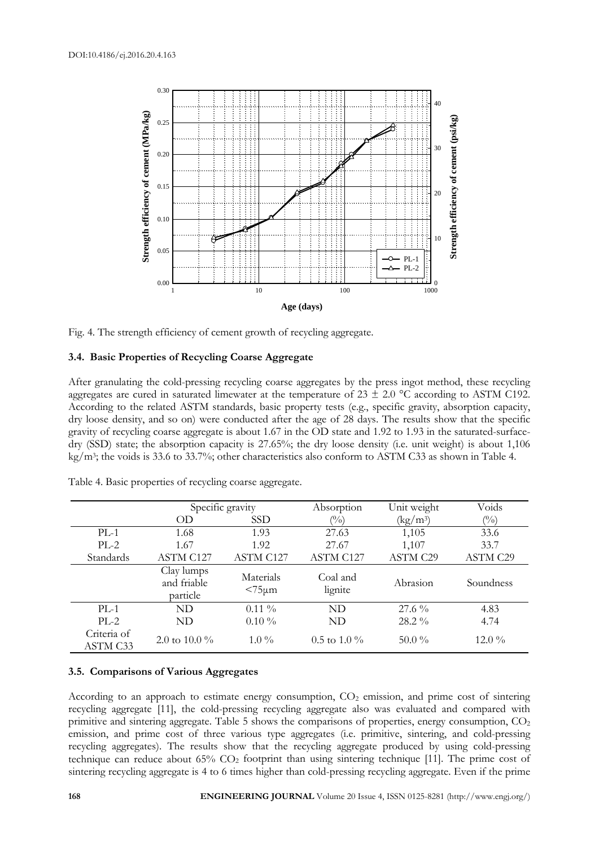

Fig. 4. The strength efficiency of cement growth of recycling aggregate.

# **3.4. Basic Properties of Recycling Coarse Aggregate**

After granulating the cold-pressing recycling coarse aggregates by the press ingot method, these recycling aggregates are cured in saturated limewater at the temperature of  $23 \pm 2.0$  °C according to ASTM C192. According to the related ASTM standards, basic property tests (e.g., specific gravity, absorption capacity, dry loose density, and so on) were conducted after the age of 28 days. The results show that the specific gravity of recycling coarse aggregate is about 1.67 in the OD state and 1.92 to 1.93 in the saturated-surfacedry (SSD) state; the absorption capacity is 27.65%; the dry loose density (i.e. unit weight) is about 1,106 kg/m3; the voids is 33.6 to 33.7%; other characteristics also conform to ASTM C33 as shown in Table 4.

|                         |                                       | Specific gravity          |                     | Unit weight     | Voids           |
|-------------------------|---------------------------------------|---------------------------|---------------------|-----------------|-----------------|
|                         | OD                                    | <b>SSD</b>                | $(\%)$              | $(kg/m^3)$      | $(\%)$          |
| $PL-1$                  | 1.68                                  | 1.93                      | 27.63               | 1,105           | 33.6            |
| $PL-2$                  | 1.67                                  | 1.92                      | 27.67               | 1,107           | 33.7            |
| Standards               | <b>ASTM C127</b>                      | ASTM C127                 | ASTM C127           | <b>ASTM C29</b> | <b>ASTM C29</b> |
|                         | Clay lumps<br>and friable<br>particle | Materials<br>$< 75 \mu m$ | Coal and<br>lignite | Abrasion        | Soundness       |
| $PL-1$                  | ND                                    | $0.11\%$                  | ND.                 | $27.6\%$        | 4.83            |
| $PL-2$                  | ND                                    | $0.10\%$                  | ND                  | 28.2 %          | 4.74            |
| Criteria of<br>ASTM C33 | 2.0 to 10.0 $\%$                      | $1.0\%$                   | $0.5$ to $1.0\%$    | $50.0\%$        | $12.0\%$        |

Table 4. Basic properties of recycling coarse aggregate.

#### **3.5. Comparisons of Various Aggregates**

According to an approach to estimate energy consumption,  $CO<sub>2</sub>$  emission, and prime cost of sintering recycling aggregate [11], the cold-pressing recycling aggregate also was evaluated and compared with primitive and sintering aggregate. Table 5 shows the comparisons of properties, energy consumption,  $CO<sub>2</sub>$ emission, and prime cost of three various type aggregates (i.e. primitive, sintering, and cold-pressing recycling aggregates). The results show that the recycling aggregate produced by using cold-pressing technique can reduce about  $65\%$  CO<sub>2</sub> footprint than using sintering technique [11]. The prime cost of sintering recycling aggregate is 4 to 6 times higher than cold-pressing recycling aggregate. Even if the prime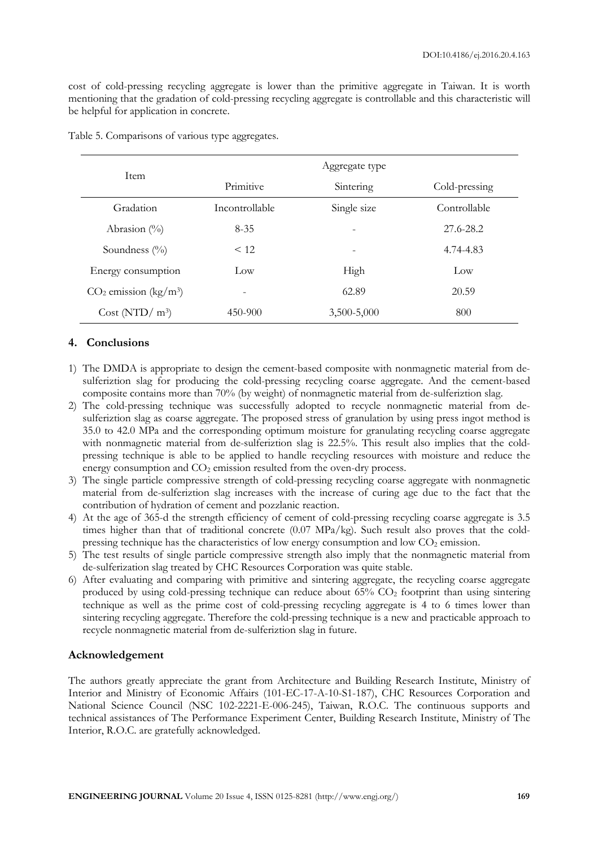cost of cold-pressing recycling aggregate is lower than the primitive aggregate in Taiwan. It is worth mentioning that the gradation of cold-pressing recycling aggregate is controllable and this characteristic will be helpful for application in concrete.

| <b>Item</b>                         | Aggregate type |                          |               |  |  |
|-------------------------------------|----------------|--------------------------|---------------|--|--|
|                                     | Primitive      | Sintering                | Cold-pressing |  |  |
| Gradation                           | Incontrollable | Single size              | Controllable  |  |  |
| Abrasion $(\%)$                     | $8 - 35$       | $\overline{\phantom{a}}$ | 27.6-28.2     |  |  |
| Soundness $(\%$                     | < 12           | $\overline{\phantom{0}}$ | 4.74-4.83     |  |  |
| Energy consumption                  | Low            | High                     | Low           |  |  |
| $CO2$ emission (kg/m <sup>3</sup> ) |                | 62.89                    | 20.59         |  |  |
| Cost (NTD/ $m^3$ )                  | 450-900        | 3,500-5,000              | 800           |  |  |

Table 5. Comparisons of various type aggregates.

# **4. Conclusions**

- 1) The DMDA is appropriate to design the cement-based composite with nonmagnetic material from desulferiztion slag for producing the cold-pressing recycling coarse aggregate. And the cement-based composite contains more than 70% (by weight) of nonmagnetic material from de-sulferiztion slag.
- 2) The cold-pressing technique was successfully adopted to recycle nonmagnetic material from desulferiztion slag as coarse aggregate. The proposed stress of granulation by using press ingot method is 35.0 to 42.0 MPa and the corresponding optimum moisture for granulating recycling coarse aggregate with nonmagnetic material from de-sulferiztion slag is 22.5%. This result also implies that the coldpressing technique is able to be applied to handle recycling resources with moisture and reduce the energy consumption and  $CO<sub>2</sub>$  emission resulted from the oven-dry process.
- 3) The single particle compressive strength of cold-pressing recycling coarse aggregate with nonmagnetic material from de-sulferiztion slag increases with the increase of curing age due to the fact that the contribution of hydration of cement and pozzlanic reaction.
- 4) At the age of 365-d the strength efficiency of cement of cold-pressing recycling coarse aggregate is 3.5 times higher than that of traditional concrete (0.07 MPa/kg). Such result also proves that the coldpressing technique has the characteristics of low energy consumption and low  $CO<sub>2</sub>$  emission.
- 5) The test results of single particle compressive strength also imply that the nonmagnetic material from de-sulferization slag treated by CHC Resources Corporation was quite stable.
- 6) After evaluating and comparing with primitive and sintering aggregate, the recycling coarse aggregate produced by using cold-pressing technique can reduce about 65% CO2 footprint than using sintering technique as well as the prime cost of cold-pressing recycling aggregate is 4 to 6 times lower than sintering recycling aggregate. Therefore the cold-pressing technique is a new and practicable approach to recycle nonmagnetic material from de-sulferiztion slag in future.

# **Acknowledgement**

The authors greatly appreciate the grant from Architecture and Building Research Institute, Ministry of Interior and Ministry of Economic Affairs (101-EC-17-A-10-S1-187), CHC Resources Corporation and National Science Council (NSC 102-2221-E-006-245), Taiwan, R.O.C. The continuous supports and technical assistances of The Performance Experiment Center, Building Research Institute, Ministry of The Interior, R.O.C. are gratefully acknowledged.